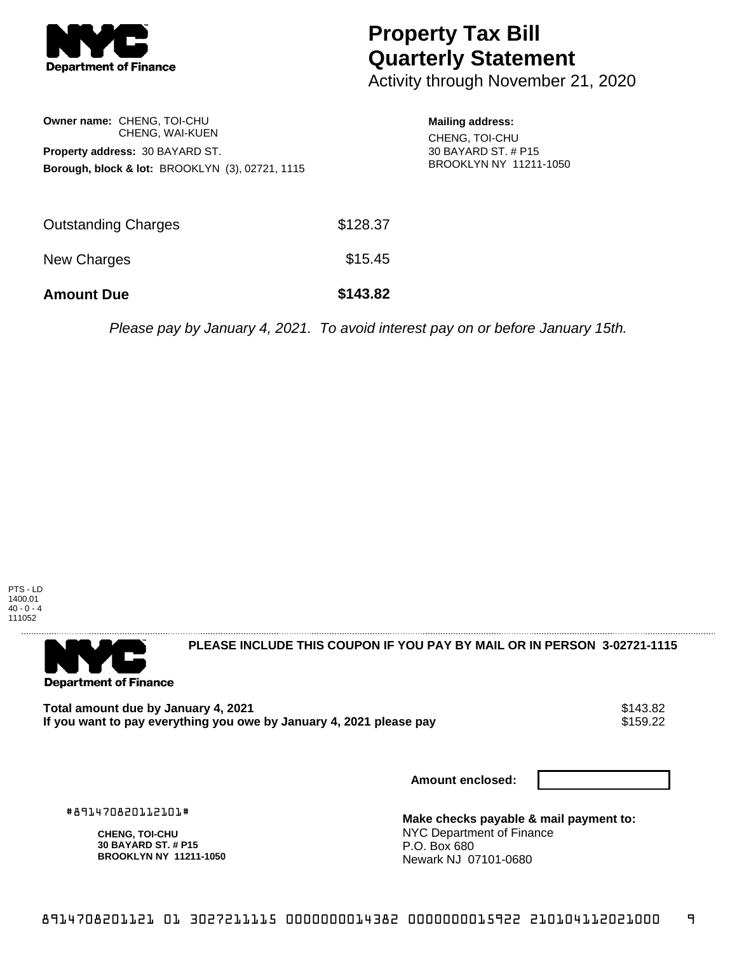

## **Property Tax Bill Quarterly Statement**

Activity through November 21, 2020

| Owner name: CHENG. TOI-CHU                                 |                 |  |  |  |
|------------------------------------------------------------|-----------------|--|--|--|
|                                                            | CHENG, WAI-KUEN |  |  |  |
| Property address: 30 BAYARD ST.                            |                 |  |  |  |
| <b>Borough, block &amp; lot: BROOKLYN (3), 02721, 1115</b> |                 |  |  |  |

**Mailing address:** CHENG, TOI-CHU 30 BAYARD ST. # P15 BROOKLYN NY 11211-1050

| <b>Amount Due</b>          | \$143.82 |
|----------------------------|----------|
| New Charges                | \$15.45  |
| <b>Outstanding Charges</b> | \$128.37 |

Please pay by January 4, 2021. To avoid interest pay on or before January 15th.





**PLEASE INCLUDE THIS COUPON IF YOU PAY BY MAIL OR IN PERSON 3-02721-1115** 

Total amount due by January 4, 2021<br>If you want to pay everything you owe by January 4, 2021 please pay **show that the set of the set of the s**159.22 If you want to pay everything you owe by January 4, 2021 please pay

**Amount enclosed:**

#891470820112101#

**CHENG, TOI-CHU 30 BAYARD ST. # P15 BROOKLYN NY 11211-1050** **Make checks payable & mail payment to:** NYC Department of Finance P.O. Box 680 Newark NJ 07101-0680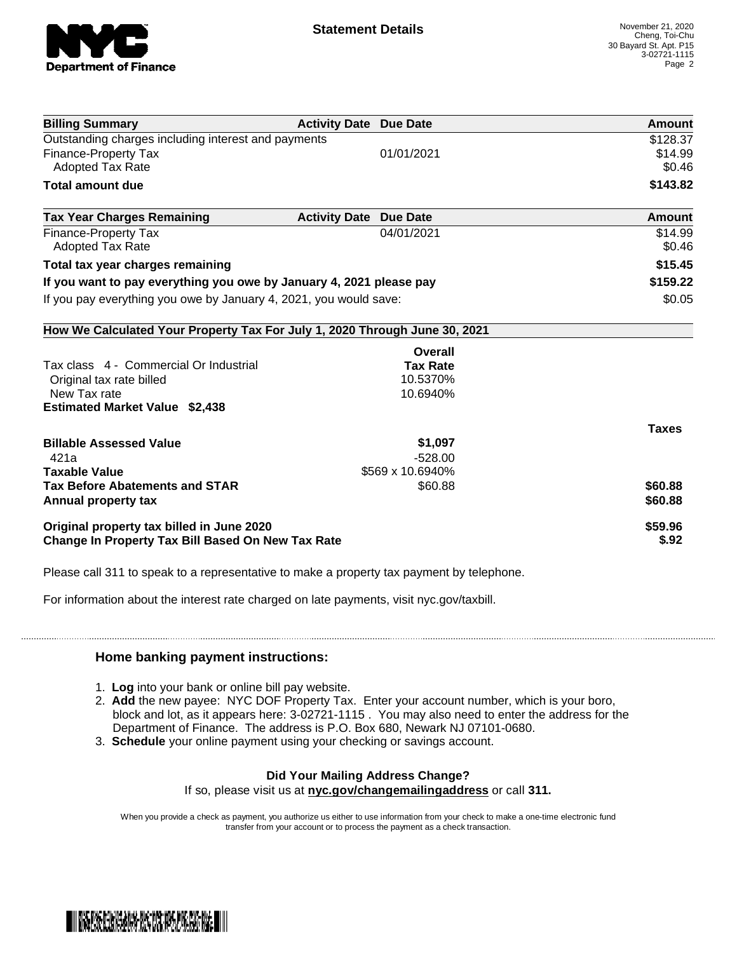

| <b>Billing Summary</b>                                                     | <b>Activity Date Due Date</b> | Amount       |
|----------------------------------------------------------------------------|-------------------------------|--------------|
| Outstanding charges including interest and payments                        | \$128.37                      |              |
| <b>Finance-Property Tax</b>                                                | 01/01/2021                    | \$14.99      |
| <b>Adopted Tax Rate</b>                                                    |                               | \$0.46       |
| <b>Total amount due</b>                                                    |                               | \$143.82     |
| <b>Tax Year Charges Remaining</b>                                          | <b>Activity Date Due Date</b> | Amount       |
| <b>Finance-Property Tax</b>                                                | 04/01/2021                    | \$14.99      |
| <b>Adopted Tax Rate</b>                                                    |                               | \$0.46       |
| Total tax year charges remaining                                           |                               | \$15.45      |
| If you want to pay everything you owe by January 4, 2021 please pay        | \$159.22                      |              |
| If you pay everything you owe by January 4, 2021, you would save:          | \$0.05                        |              |
| How We Calculated Your Property Tax For July 1, 2020 Through June 30, 2021 |                               |              |
|                                                                            | Overall                       |              |
| Tax class 4 - Commercial Or Industrial                                     | <b>Tax Rate</b>               |              |
| Original tax rate billed                                                   | 10.5370%                      |              |
| New Tax rate                                                               | 10.6940%                      |              |
| <b>Estimated Market Value \$2,438</b>                                      |                               |              |
|                                                                            |                               | <b>Taxes</b> |
| <b>Billable Assessed Value</b>                                             | \$1,097                       |              |
| 421a                                                                       | $-528.00$                     |              |
| <b>Taxable Value</b>                                                       | \$569 x 10.6940%              |              |
| <b>Tax Before Abatements and STAR</b>                                      | \$60.88                       | \$60.88      |
| Annual property tax                                                        |                               | \$60.88      |
| Original property tax billed in June 2020                                  | \$59.96                       |              |
| <b>Change In Property Tax Bill Based On New Tax Rate</b>                   | \$.92                         |              |

Please call 311 to speak to a representative to make a property tax payment by telephone.

For information about the interest rate charged on late payments, visit nyc.gov/taxbill.

## **Home banking payment instructions:**

- 1. **Log** into your bank or online bill pay website.
- 2. **Add** the new payee: NYC DOF Property Tax. Enter your account number, which is your boro, block and lot, as it appears here: 3-02721-1115 . You may also need to enter the address for the Department of Finance. The address is P.O. Box 680, Newark NJ 07101-0680.
- 3. **Schedule** your online payment using your checking or savings account.

## **Did Your Mailing Address Change?** If so, please visit us at **nyc.gov/changemailingaddress** or call **311.**

When you provide a check as payment, you authorize us either to use information from your check to make a one-time electronic fund transfer from your account or to process the payment as a check transaction.